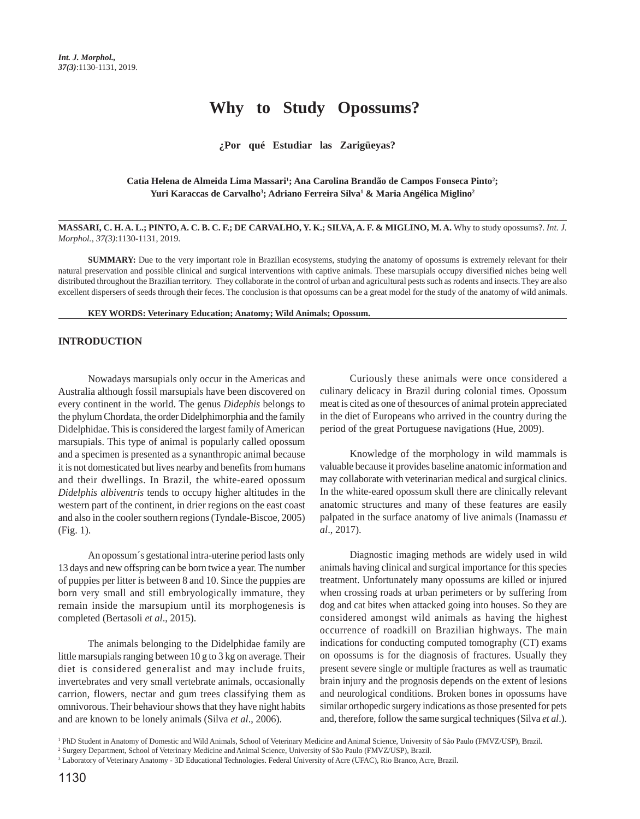# **Why to Study Opossums?**

## **¿Por qué Estudiar las Zarigüeyas?**

## Catia Helena de Almeida Lima Massari<sup>1</sup>; Ana Carolina Brandão de Campos Fonseca Pinto<sup>2</sup>; Yuri Karaccas de Carvalho<sup>3</sup>; Adriano Ferreira Silva<sup>1</sup> & Maria Angélica Miglino<sup>2</sup>

### MASSARI, C. H. A. L.; PINTO, A. C. B. C. F.; DE CARVALHO, Y. K.; SILVA, A. F. & MIGLINO, M. A. Why to study opossums?. *Int. J. Morphol., 37(3)*:1130-1131, 2019.

**SUMMARY:** Due to the very important role in Brazilian ecosystems, studying the anatomy of opossums is extremely relevant for their natural preservation and possible clinical and surgical interventions with captive animals. These marsupials occupy diversified niches being well distributed throughout the Brazilian territory. They collaborate in the control of urban and agricultural pests such as rodents and insects. They are also excellent dispersers of seeds through their feces. The conclusion is that opossums can be a great model for the study of the anatomy of wild animals.

#### **KEY WORDS: Veterinary Education; Anatomy; Wild Animals; Opossum.**

## **INTRODUCTION**

Nowadays marsupials only occur in the Americas and Australia although fossil marsupials have been discovered on every continent in the world. The genus *Didephis* belongs to the phylum Chordata, the order Didelphimorphia and the family Didelphidae. This is considered the largest family of American marsupials. This type of animal is popularly called opossum and a specimen is presented as a synanthropic animal because it is not domesticated but lives nearby and benefits from humans and their dwellings. In Brazil, the white-eared opossum *Didelphis albiventris* tends to occupy higher altitudes in the western part of the continent, in drier regions on the east coast and also in the cooler southern regions (Tyndale-Biscoe, 2005) (Fig. 1).

An opossum´s gestational intra-uterine period lasts only 13 days and new offspring can be born twice a year. The number of puppies per litter is between 8 and 10. Since the puppies are born very small and still embryologically immature, they remain inside the marsupium until its morphogenesis is completed (Bertasoli *et al*., 2015).

The animals belonging to the Didelphidae family are little marsupials ranging between 10 g to 3 kg on average. Their diet is considered generalist and may include fruits, invertebrates and very small vertebrate animals, occasionally carrion, flowers, nectar and gum trees classifying them as omnivorous. Their behaviour shows that they have night habits and are known to be lonely animals (Silva *et al*., 2006).

Curiously these animals were once considered a culinary delicacy in Brazil during colonial times. Opossum meat is cited as one of thesources of animal protein appreciated in the diet of Europeans who arrived in the country during the period of the great Portuguese navigations (Hue, 2009).

Knowledge of the morphology in wild mammals is valuable because it provides baseline anatomic information and may collaborate with veterinarian medical and surgical clinics. In the white-eared opossum skull there are clinically relevant anatomic structures and many of these features are easily palpated in the surface anatomy of live animals (Inamassu *et al*., 2017).

Diagnostic imaging methods are widely used in wild animals having clinical and surgical importance for this species treatment. Unfortunately many opossums are killed or injured when crossing roads at urban perimeters or by suffering from dog and cat bites when attacked going into houses. So they are considered amongst wild animals as having the highest occurrence of roadkill on Brazilian highways. The main indications for conducting computed tomography (CT) exams on opossums is for the diagnosis of fractures. Usually they present severe single or multiple fractures as well as traumatic brain injury and the prognosis depends on the extent of lesions and neurological conditions. Broken bones in opossums have similar orthopedic surgery indications as those presented for pets and, therefore, follow the same surgical techniques (Silva *et al*.).

<sup>1</sup> PhD Student in Anatomy of Domestic and Wild Animals, School of Veterinary Medicine and Animal Science, University of São Paulo (FMVZ/USP), Brazil.

<sup>2</sup> Surgery Department, School of Veterinary Medicine and Animal Science, University of São Paulo (FMVZ/USP), Brazil.

<sup>3</sup> Laboratory of Veterinary Anatomy - 3D Educational Technologies. Federal University of Acre (UFAC), Rio Branco, Acre, Brazil.